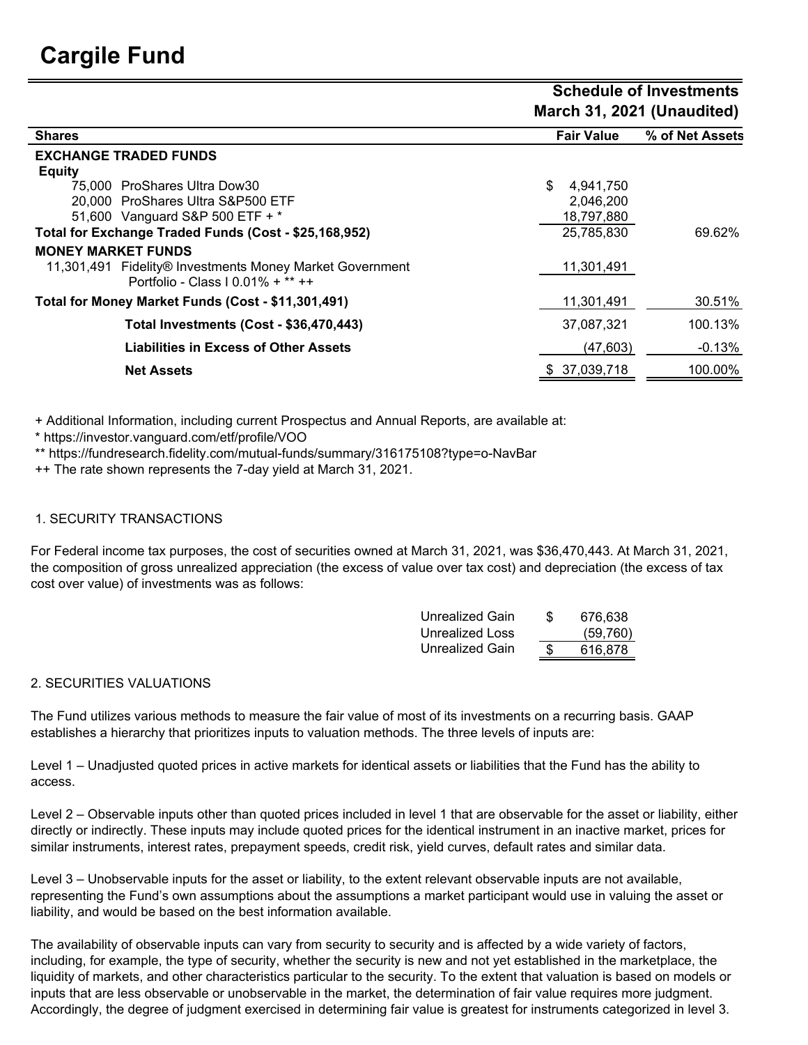|                                                          | March 31, 2021 (Unaudited) |                 |  |  |
|----------------------------------------------------------|----------------------------|-----------------|--|--|
| <b>Shares</b>                                            | <b>Fair Value</b>          | % of Net Assets |  |  |
| <b>EXCHANGE TRADED FUNDS</b>                             |                            |                 |  |  |
| <b>Equity</b>                                            |                            |                 |  |  |
| 75,000 ProShares Ultra Dow30                             | \$<br>4,941,750            |                 |  |  |
| 20,000 ProShares Ultra S&P500 ETF                        | 2,046,200                  |                 |  |  |
| 51,600 Vanguard S&P 500 ETF + *                          | 18,797,880                 |                 |  |  |
| Total for Exchange Traded Funds (Cost - \$25,168,952)    | 25,785,830                 | 69.62%          |  |  |
| <b>MONEY MARKET FUNDS</b>                                |                            |                 |  |  |
| 11,301,491 Fidelity® Investments Money Market Government | 11,301,491                 |                 |  |  |
| Portfolio - Class   $0.01\% + **++$                      |                            |                 |  |  |
| Total for Money Market Funds (Cost - \$11,301,491)       | 11,301,491                 | 30.51%          |  |  |
| Total Investments (Cost - \$36,470,443)                  | 37,087,321                 | 100.13%         |  |  |
| <b>Liabilities in Excess of Other Assets</b>             | (47, 603)                  | $-0.13%$        |  |  |
| <b>Net Assets</b>                                        | \$37,039,718               | 100.00%         |  |  |

+ Additional Information, including current Prospectus and Annual Reports, are available at:

\* https://investor.vanguard.com/etf/profile/VOO

\*\* https://fundresearch.fidelity.com/mutual-funds/summary/316175108?type=o-NavBar

++ The rate shown represents the 7-day yield at March 31, 2021.

## 1. SECURITY TRANSACTIONS

For Federal income tax purposes, the cost of securities owned at March 31, 2021, was \$36,470,443. At March 31, 2021, the composition of gross unrealized appreciation (the excess of value over tax cost) and depreciation (the excess of tax cost over value) of investments was as follows:

| Unrealized Gain | S | 676.638  |
|-----------------|---|----------|
| Unrealized Loss |   | (59,760) |
| Unrealized Gain | S | 616.878  |

 **Schedule of Investments**

## 2. SECURITIES VALUATIONS

The Fund utilizes various methods to measure the fair value of most of its investments on a recurring basis. GAAP establishes a hierarchy that prioritizes inputs to valuation methods. The three levels of inputs are:

Level 1 – Unadjusted quoted prices in active markets for identical assets or liabilities that the Fund has the ability to access.

Level 2 – Observable inputs other than quoted prices included in level 1 that are observable for the asset or liability, either directly or indirectly. These inputs may include quoted prices for the identical instrument in an inactive market, prices for similar instruments, interest rates, prepayment speeds, credit risk, yield curves, default rates and similar data.

Level 3 – Unobservable inputs for the asset or liability, to the extent relevant observable inputs are not available, representing the Fund's own assumptions about the assumptions a market participant would use in valuing the asset or liability, and would be based on the best information available.

The availability of observable inputs can vary from security to security and is affected by a wide variety of factors, including, for example, the type of security, whether the security is new and not yet established in the marketplace, the liquidity of markets, and other characteristics particular to the security. To the extent that valuation is based on models or inputs that are less observable or unobservable in the market, the determination of fair value requires more judgment. Accordingly, the degree of judgment exercised in determining fair value is greatest for instruments categorized in level 3.